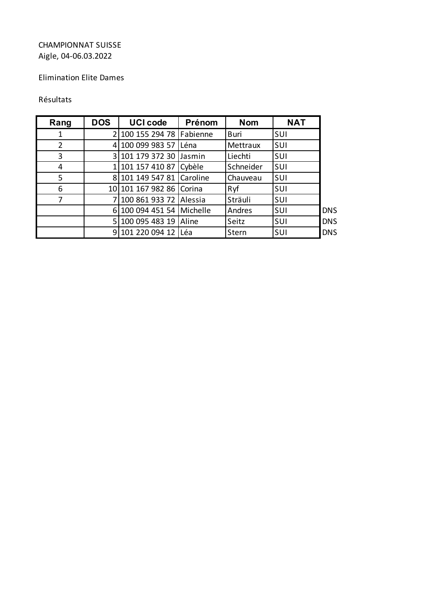### Elimination Elite Dames

#### Résultats

| Rang           | <b>DOS</b> | <b>UCI code</b>           | Prénom | <b>Nom</b>  | <b>NAT</b> |            |
|----------------|------------|---------------------------|--------|-------------|------------|------------|
| 1              |            | 2 100 155 294 78 Fabienne |        | <b>Buri</b> | SUI        |            |
| $\overline{2}$ |            | 4 100 099 983 57          | Léna   | Mettraux    | SUI        |            |
| 3              |            | 3 101 179 372 30          | Jasmin | Liechti     | SUI        |            |
| 4              |            | 1 101 157 410 87 Cybèle   |        | Schneider   | SUI        |            |
| 5              |            | 8 101 149 547 81 Caroline |        | Chauveau    | SUI        |            |
| 6              |            | 10 101 167 982 86 Corina  |        | Ryf         | SUI        |            |
| 7              |            | 7 100 861 933 72 Alessia  |        | Sträuli     | SUI        |            |
|                |            | 6 100 094 451 54 Michelle |        | Andres      | SUI        | <b>DNS</b> |
|                |            | 5 100 095 483 19 Aline    |        | Seitz       | SUI        | <b>DNS</b> |
|                |            | 9 101 220 094 12 Léa      |        | Stern       | SUI        | <b>DNS</b> |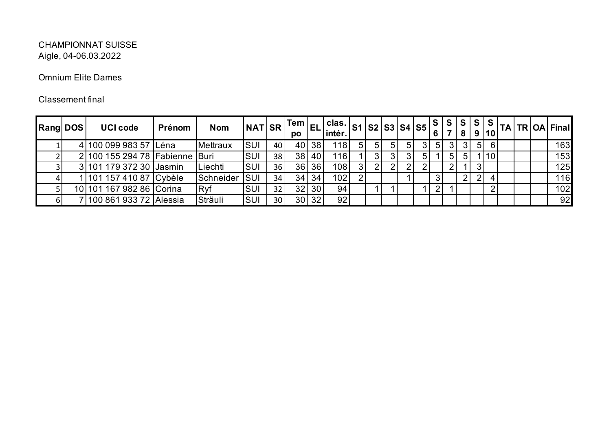### Omnium Elite Dames

| <b>Rang DOS</b> | <b>UCI code</b>                | Prénom | <b>Nom</b> | <b>NAT SR</b> |                 | po |              | clas.<br>intér.  |    |    |    | $ s_1 s_2 s_3 s_4 s_5 s$ |    |    | . S            | S l | S l<br>9 | <b>S</b><br> 10 | TA |  | <b>TR OA Final</b> |
|-----------------|--------------------------------|--------|------------|---------------|-----------------|----|--------------|------------------|----|----|----|--------------------------|----|----|----------------|-----|----------|-----------------|----|--|--------------------|
|                 | 4 100 099 983 57 Léna          |        | Mettraux   | <b>SUI</b>    | 40              |    | 40 38        | 1181             | 51 | 51 | 51 | 51                       | 31 | 51 | 31             | 31  |          | -61             |    |  | 163                |
|                 | 2 100 155 294 78 Fabienne Buri |        |            | <b>SUI</b>    | 38              |    | 38 40        | 116              |    | 3  |    |                          | 5  |    | 5              | 51  |          | 10              |    |  | 153                |
|                 | 3 101 179 372 30 Jasmin        |        | Liechti    | <b>SUI</b>    | 36              |    | 36 36        | 108 <sub>1</sub> |    | 2  |    |                          |    |    | $\overline{2}$ |     |          |                 |    |  | 125                |
|                 | 1   101 157 410 87   Cybèle    |        | Schneider  | <b>SUI</b>    | 34              |    | $34 \mid 34$ | 102              |    |    |    |                          |    |    |                | າເ  |          |                 |    |  | 116                |
|                 | 10 101 167 982 86 Corina       |        | Ryf        | <b>SUI</b>    | 32              |    | 32 30        | 94               |    |    |    |                          |    |    |                |     |          | ົ               |    |  | 102                |
|                 | 7 100 861 933 72 Alessia       |        | Sträuli    | <b>SUI</b>    | 30 <sup>1</sup> |    | 30 32        | 92               |    |    |    |                          |    |    |                |     |          |                 |    |  | 92                 |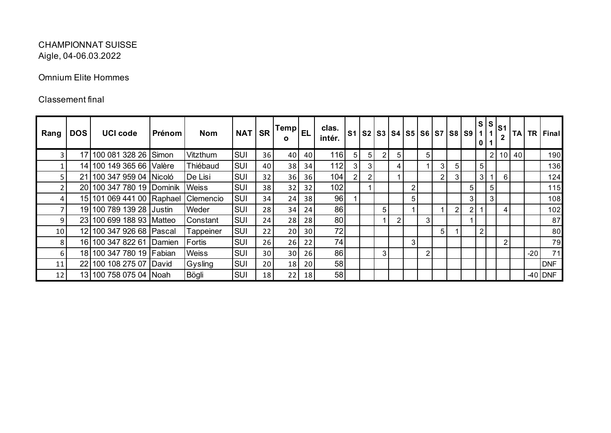### Omnium Elite Hommes

| Rang | <b>DOS</b> | <b>UCI code</b>           | Prénom | <b>Nom</b>   | NAT SR     |                 | $ Temp _{EL}$  <br>O |    | clas.<br>intér. |                |   |                |                |   |                |   |   | S1   S2   S3   S4   S5   S6   S7   S8   S9 | 0 <sub>1</sub> |   | S <sub>1</sub>  | <b>TA</b> |       | TR Final   |
|------|------------|---------------------------|--------|--------------|------------|-----------------|----------------------|----|-----------------|----------------|---|----------------|----------------|---|----------------|---|---|--------------------------------------------|----------------|---|-----------------|-----------|-------|------------|
| 3.   |            | 17 100 081 328 26 Simon   |        | Vitzthum     | <b>SUI</b> | 36              | 40                   | 40 | <b>116</b>      | 5 <sub>l</sub> | 5 | $\overline{2}$ | 5 <sup>1</sup> |   | 5              |   |   |                                            |                | 2 | 10 <sup>1</sup> | 40        |       | 190        |
|      |            | 14 100 149 365 66 Valère  |        | Thiébaud     | <b>SUI</b> | 40              | 38                   | 34 | 112             | 3              | 3 |                | 4              |   |                | 3 | 5 |                                            | 5 <sup>5</sup> |   |                 |           |       | 136        |
|      |            | 21 100 347 959 04 Nicoló  |        | De Lisi      | <b>SUI</b> | 32              | 36                   | 36 | 104             | $\overline{2}$ |   |                |                |   |                | 2 |   |                                            | 3 <sup>1</sup> |   | 6               |           |       | 124        |
|      |            | 20 100 347 780 19 Dominik |        | <b>Weiss</b> | <b>SUI</b> | 38              | 32                   | 32 | 102             |                |   |                |                | 2 |                |   |   | 5 <sub>l</sub>                             |                | 5 |                 |           |       | 115        |
|      |            | 15 101 069 441 00 Raphael |        | Clemencio    | <b>SUI</b> | 34              | 24                   | 38 | 96              |                |   |                |                | 5 |                |   |   | 3 <sup>1</sup>                             |                | 3 |                 |           |       | 108        |
|      |            | 19 100 789 139 28 Justin  |        | Weder        | <b>SUI</b> | 28              | 34                   | 24 | 86 <sup>1</sup> |                |   | 5              |                |   |                |   | 2 | 21                                         |                |   | 4               |           |       | 102        |
| 9.   |            | 23 100 699 188 93 Matteo  |        | Constant     | <b>SUI</b> | 24              | 28                   | 28 | 80              |                |   |                | 2              |   | 3              |   |   |                                            |                |   |                 |           |       | 87         |
| 10   |            | 12 100 347 926 68 Pascal  |        | Tappeiner    | <b>SUI</b> | 22              | 20                   | 30 | 72              |                |   |                |                |   |                | 5 |   |                                            | $\overline{2}$ |   |                 |           |       | 80         |
| 8    |            | 16 100 347 822 61 Damien  |        | Fortis       | <b>SUI</b> | 26              | 26                   | 22 | 74              |                |   |                |                | 3 |                |   |   |                                            |                |   | $\overline{2}$  |           |       | 79         |
| 6    |            | 18 100 347 780 19 Fabian  |        | Weiss        | <b>SUI</b> | 30 <sup>1</sup> | 30                   | 26 | 86              |                |   | 3              |                |   | $\overline{2}$ |   |   |                                            |                |   |                 |           | $-20$ | 71         |
| 11   |            | 22 100 108 275 07 David   |        | Gysling      | <b>SUI</b> | 20 <sup>1</sup> | 18                   | 20 | 58 <sup>1</sup> |                |   |                |                |   |                |   |   |                                            |                |   |                 |           |       | <b>DNF</b> |
| 12   |            | 13 100 758 075 04 Noah    |        | Bögli        | <b>SUI</b> | 18              | 22                   | 18 | 58              |                |   |                |                |   |                |   |   |                                            |                |   |                 |           |       | $-40$ DNF  |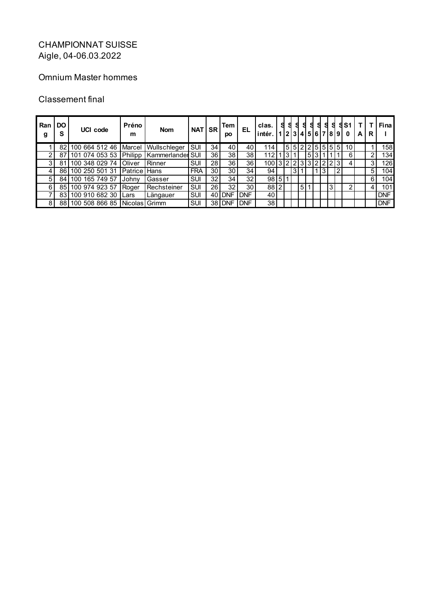## Omnium Master hommes

| Ran<br>g | <b>DO</b><br>s | UCI code                                  | Préno<br>m          | <b>Nom</b>  | <b>NATISR</b> |     | Tem<br>po  | EL.        | clas.<br>intér. | s | - S |   |                | <b>SSSS</b>    | 9                   | S.  | 2 3 4 5 6 7 8 9  0 | <b>SS1</b> | A | R              | Fina       |
|----------|----------------|-------------------------------------------|---------------------|-------------|---------------|-----|------------|------------|-----------------|---|-----|---|----------------|----------------|---------------------|-----|--------------------|------------|---|----------------|------------|
|          |                | 82 100 664 512 46   Marcel   Wullschleger |                     |             | <b>SUI</b>    | 34  | 40         | 40         | 114             |   |     |   |                |                | 5 5 2 2 5 5 5 5 5 6 |     |                    | 10         |   |                | 1581       |
|          | 87             | 101 074 053 53 Philipp   Kammerlander SUI |                     |             |               | 36  | 38         | 38         |                 |   |     |   |                | 5 <sup>1</sup> |                     |     |                    | 6          |   | 2              | 1341       |
|          | 81             | 100 348 029 74                            | <b>Oliver</b>       | Rinner      | SUI           | 28  | 36         | 36         | 100             |   |     |   |                |                | 3 2 2 3 3 2 2       | 2 3 |                    | 4          |   | 3              | 126l       |
|          |                | 86 100 250 501 31                         | <b>Patrice Hans</b> |             | <b>FRA</b>    | 30  | 30         | 34         | 94              |   |     | 3 |                |                | 3                   |     |                    |            |   | 5 <sup>1</sup> | 104        |
| 51       | 84             | 100 165 749 57                            | Johny               | Gasser      | SUI           | 32  | 34         | 32         | 9815            |   |     |   |                |                |                     |     |                    |            |   | 6              | 104        |
| 6        |                | 85 100 974 923 57                         | Roger               | Rechsteiner | SUI           | 261 | 32         | 30         | 88              | ົ |     |   | 5 <sup>1</sup> |                |                     | 3   |                    | 2          |   | 4              | 101        |
|          |                | 83 100 910 682 30                         | I Lars              | Längauer    | SUI           | 40  | <b>DNF</b> | <b>DNF</b> | 40              |   |     |   |                |                |                     |     |                    |            |   |                | <b>DNF</b> |
| 8        |                | 88   100 508 866 85   Nicolas Grimm       |                     |             | SUI           | 381 | <b>DNF</b> | <b>DNF</b> | 38              |   |     |   |                |                |                     |     |                    |            |   |                | <b>DNF</b> |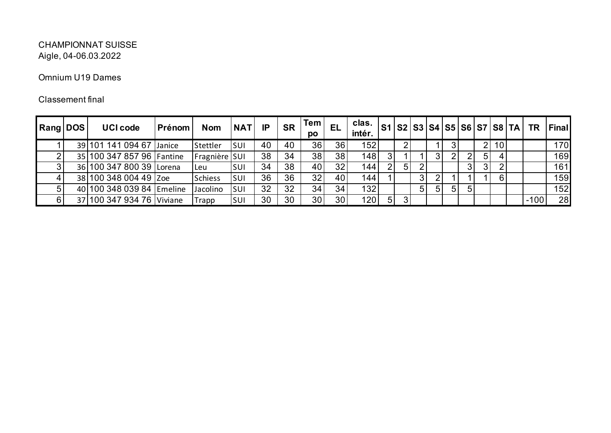### Omnium U19 Dames

| <b>Rang DOS</b> | <b>UCI code</b>           | Prénom | <b>Nom</b>     | <b>NAT</b> | IP | <b>SR</b> | <b>Tem</b><br>DO | <b>EL</b> | clas.<br>intér.  |                |    |    |    |   |   |    |                 | S1   S2   S3   S4   S5   S6   S7   S8   TA | <b>TR</b> | Final |
|-----------------|---------------------------|--------|----------------|------------|----|-----------|------------------|-----------|------------------|----------------|----|----|----|---|---|----|-----------------|--------------------------------------------|-----------|-------|
|                 | 39 101 141 094 67 Janice  |        | Stettler       | <b>SUI</b> | 40 | 40        | 36               | 36        | 152              |                |    |    |    |   |   |    | 10 <sub>1</sub> |                                            |           | 170   |
|                 | 35 100 347 857 96 Fantine |        | Fragnière SUI  |            | 38 | 34        | 38               | 38        | 148              |                |    |    | 3  |   |   | 51 |                 |                                            |           | 169   |
|                 | 36 100 347 800 39 Lorena  |        | Leu            | SUI        | 34 | 38        | 40               | 32        | 144              | $\overline{2}$ | 51 |    |    |   |   |    |                 |                                            |           | 161   |
|                 | 38 100 348 004 49 Zoe     |        | <b>Schiess</b> | SUI        | 36 | 36        | 32               | 40        | 144 <sub>1</sub> |                |    | 31 |    |   |   |    |                 |                                            |           | 159   |
|                 | 40 100 348 039 84 Emeline |        | Jacolino       | <b>SUI</b> | 32 | 32        | 34               | 34        | 132              |                |    | 51 | 51 | 5 | 5 |    |                 |                                            |           | 152   |
|                 | 37 100 347 934 76 Viviane |        | Trapp          | SUI        | 30 | 30        | 30               | 30        | 120              | 5 <sup>5</sup> |    |    |    |   |   |    |                 |                                            | $-100$    | 28    |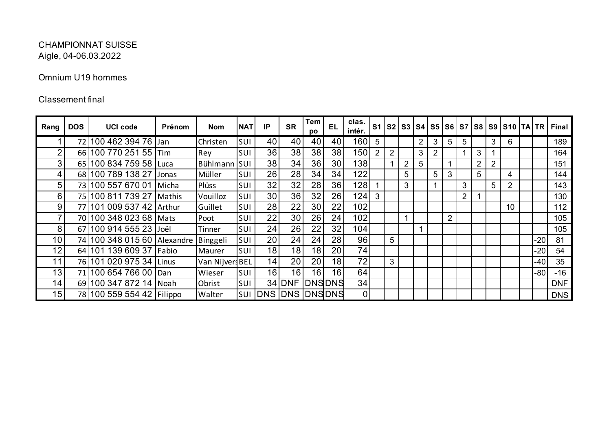### Omnium U19 hommes

| Rang            | <b>DOS</b> | <b>UCI code</b>             | Prénom        | <b>Nom</b>      | <b>NAT</b> | IP              | <b>SR</b> | Tem<br>po | EL              | clas.<br>intér.  | S <sub>1</sub> | S <sub>2</sub> |                |   | S3 S4 S5 |                |                |                |                | S6   S7   S8   S9   S10   TA   TR |       | <b>Final</b> |
|-----------------|------------|-----------------------------|---------------|-----------------|------------|-----------------|-----------|-----------|-----------------|------------------|----------------|----------------|----------------|---|----------|----------------|----------------|----------------|----------------|-----------------------------------|-------|--------------|
|                 | 72         | 100 462 394 76              | Jan           | Christen        | SUI        | 40              | 40        | 40        | 40              | 160 <sub>1</sub> | 5              |                |                | 2 | 3        | 5              | 5              |                | 3              | 6                                 |       | 189          |
| ∩               |            | 66 100 770 251 55 Tim       |               | Rey             | SUI        | 36              | 38        | 38        | 38              | 150              | $\overline{2}$ | $\overline{2}$ |                | 3 |          |                |                | 3              |                |                                   |       | 164          |
| 3               |            | 65 100 834 759 58 Luca      |               | Bühlmann SUI    |            | 38              | 34        | 36        | 30 <sup>°</sup> | 138              |                |                | $\overline{2}$ | 5 |          |                |                | $\overline{2}$ | $\overline{2}$ |                                   |       | 151          |
| 4               |            | 68 100 789 138 27           | Jonas         | Müller          | SUI        | 26              | 28        | 34        | 34              | 122              |                |                | 5              |   | 5        | 3              |                | 5              |                | 4                                 |       | 144          |
| 5               | 73         | 100 557 670 01              | Micha         | Plüss           | SUI        | 32              | 32        | 28        | 36              | 128              |                |                | 3              |   |          |                | 3              |                | 5              | $\overline{2}$                    |       | 143          |
| 6               | 75         | 100 811 739 27              | Mathis        | Vouilloz        | SUI        | 30              | 36        | 32        | 26              | 124              | 3              |                |                |   |          |                | $\overline{2}$ |                |                |                                   |       | 130          |
| 9               | 77         | 101 009 537 42 Arthur       |               | Guillet         | SUI        | 28              | 22        | 30        | 22              | 102              |                |                |                |   |          |                |                |                |                | 10                                |       | 112          |
|                 |            | 70 100 348 023 68 Mats      |               | Poot            | SUI        | 22              | 30        | 26        | 24              | 102              |                |                |                |   |          | $\overline{2}$ |                |                |                |                                   |       | 105          |
| 8               |            | 67 100 914 555 23 Joël      |               | Tinner          | SUI        | 24              | 26        | 22        | 32              | 104              |                |                |                |   |          |                |                |                |                |                                   |       | 105          |
| 10 <sup>°</sup> |            | 74 100 348 015 60 Alexandre |               | Binggeli        | SUI        | 20              | 24        | 24        | 28              | 96               |                | 5              |                |   |          |                |                |                |                |                                   | $-20$ | 81           |
| 12 <sub>1</sub> |            | 64 101 139 609 37           | <b>IFabio</b> | Maurer          | SUI        | 18 <sub>1</sub> | 18        | 18        | 20              | 74               |                |                |                |   |          |                |                |                |                |                                   | -20   | 54           |
| 11              |            | 76 101 020 975 34           | Linus         | Van Nijvers BEL |            | 14              | 20        | 20        | 18 <sub>1</sub> | 72               |                | 3              |                |   |          |                |                |                |                |                                   | $-40$ | 35           |
| 13              |            | 71 100 654 766 00           | IDan          | Wieser          | SUI        | 16              | 16        | 16        | 16 <sub>1</sub> | 64               |                |                |                |   |          |                |                |                |                |                                   | $-80$ | $-16$        |
| 14              |            | 69 100 347 872 14           | Noah          | Obrist          | SUI        |                 | $34$ DNF  |           | <b>DNSDNS</b>   | 34               |                |                |                |   |          |                |                |                |                |                                   |       | <b>DNF</b>   |
| 15 <sub>1</sub> |            | 78 100 559 554 42   Filippo |               | Walter          | SUI        |                 | DNS DNS   |           | <b>DNSDNS</b>   | 0                |                |                |                |   |          |                |                |                |                |                                   |       | <b>DNS</b>   |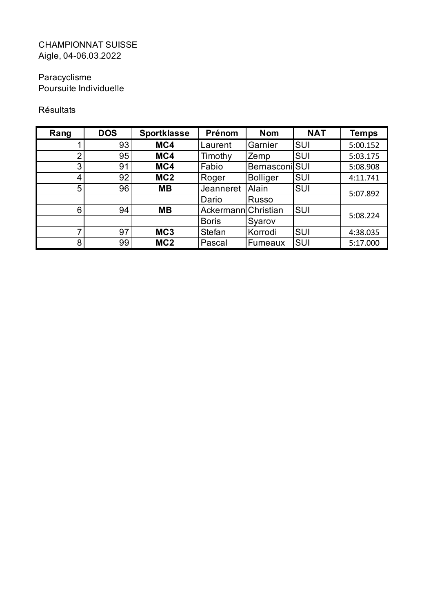# Paracyclisme

Poursuite Individuelle

## Résultats

| Rang | <b>DOS</b> | <b>Sportklasse</b> | Prénom              | <b>Nom</b>            | <b>NAT</b> | <b>Temps</b> |
|------|------------|--------------------|---------------------|-----------------------|------------|--------------|
|      | 93         | MC4                | Laurent             | Garnier               | <b>SUI</b> | 5:00.152     |
| ⌒    | 95         | MC4                | Timothy             | Zemp                  | <b>SUI</b> | 5:03.175     |
| 3    | 91         | MC4                | Fabio               | <b>Bernasconi</b> SUI |            | 5:08.908     |
| 4    | 92         | MC <sub>2</sub>    | Roger               | <b>Bolliger</b>       | <b>SUI</b> | 4:11.741     |
| 5    | 96         | <b>MB</b>          | Jeanneret           | Alain                 | <b>SUI</b> | 5:07.892     |
|      |            |                    | Dario               | Russo                 |            |              |
| 6    | 94         | <b>MB</b>          | Ackermann Christian |                       | SUI        | 5:08.224     |
|      |            |                    | <b>Boris</b>        | Syarov                |            |              |
| 7    | 97         | MC <sub>3</sub>    | <b>Stefan</b>       | Korrodi               | <b>SUI</b> | 4:38.035     |
| 8    | 99         | MC <sub>2</sub>    | Pascal              | Fumeaux               | <b>SUI</b> | 5:17.000     |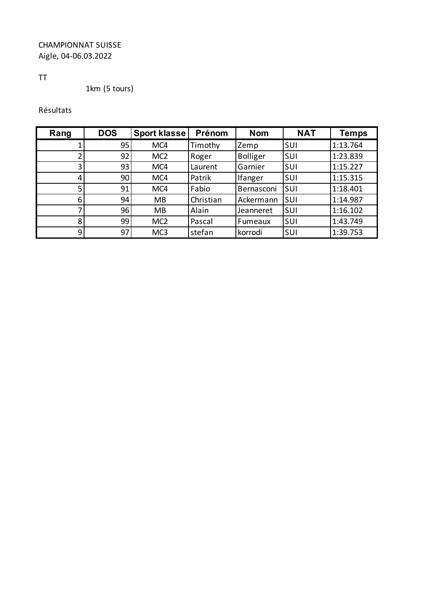## TT

1km (5 tours)

## Résultats

| Rang | <b>DOS</b> | <b>Sport klasse</b> | Prénom    | <b>Nom</b>      | <b>NAT</b> | <b>Temps</b> |
|------|------------|---------------------|-----------|-----------------|------------|--------------|
|      | 95         | MC4                 | Timothy   | Zemp            | SUI        | 1:13.764     |
|      | 92         | MC <sub>2</sub>     | Roger     | <b>Bolliger</b> | SUI        | 1:23.839     |
| 3    | 93         | MC4                 | Laurent   | Garnier         | SUI        | 1:15.227     |
| 4    | 90         | MC4                 | Patrik    | <b>Ifanger</b>  | SUI        | 1:15.315     |
| 5    | 91         | MC4                 | Fabio     | Bernasconi      | SUI        | 1:18.401     |
| 6    | 94         | <b>MB</b>           | Christian | Ackermann       | <b>SUI</b> | 1:14.987     |
|      | 96         | <b>MB</b>           | Alain     | Jeanneret       | SUI        | 1:16.102     |
| 8    | 99         | MC <sub>2</sub>     | Pascal    | Fumeaux         | SUI        | 1:43.749     |
| 9    | 97         | MC <sub>3</sub>     | stefan    | korrodi         | SUI        | 1:39.753     |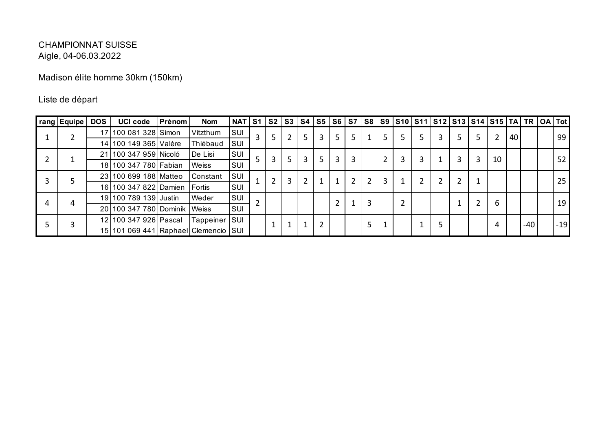Madison élite homme 30km (150km)

## Liste de départ

| rang Equipe | <b>DOS</b> | <b>UCI code</b>                      | Prénom | <b>Nom</b>     | $NAT$ S1 S2 |              |                | S3 |    |                |    |   |   |   |   |   | S4   S5   S6   S7   S8   S9  S10  S11  S12  S13  S14  S15   TA   TR   OA   Tot |    |    |     |       |
|-------------|------------|--------------------------------------|--------|----------------|-------------|--------------|----------------|----|----|----------------|----|---|---|---|---|---|--------------------------------------------------------------------------------|----|----|-----|-------|
|             |            | 17 100 081 328 Simon                 |        | Vitzthum       | SUI         | $\mathbf{3}$ | 5              | 2  |    | 3              | 5. | 5 |   |   |   | 5 |                                                                                | 2  | 40 |     | 99    |
|             |            | 14 100 149 365 Valère                |        | Thiébaud       | SUI         |              |                |    |    |                |    |   |   |   |   |   |                                                                                |    |    |     |       |
|             |            | 21 100 347 959 Nicoló                |        | De Lisi        | SUI         |              | 3              | 5. | 3  | 5 <sup>1</sup> | 3  | 3 |   | 3 | 3 | 3 |                                                                                | 10 |    |     | 52    |
|             |            | 18 100 347 780 Fabian                |        | <b>Weiss</b>   | SUI         |              |                |    |    |                |    |   |   |   |   |   |                                                                                |    |    |     |       |
|             |            | 23 100 699 188 Matteo                |        | Constant       | SUI         |              | $\overline{2}$ | 3  | C. |                |    |   | ົ |   |   | າ |                                                                                |    |    |     | 25    |
|             |            | 16 100 347 822 Damien                |        | <b>IFortis</b> | SUI         |              |                |    |    |                |    |   |   |   |   |   |                                                                                |    |    |     |       |
|             |            | 19 100 789 139 Justin                |        | Weder          | SUI         |              |                |    |    |                |    |   |   |   |   |   |                                                                                | 6  |    |     | 19    |
|             |            | 20 100 347 780 Dominik Weiss         |        |                | SUI         |              |                |    |    |                |    |   |   |   |   |   |                                                                                |    |    |     |       |
|             |            | 12 100 347 926 Pascal                |        | Tappeiner      | <b>SUI</b>  |              |                |    |    |                |    |   |   |   |   |   |                                                                                | 4  |    | -40 | $-19$ |
|             |            | 15 101 069 441 Raphael Clemencio SUI |        |                |             |              |                |    |    |                |    |   |   |   |   |   |                                                                                |    |    |     |       |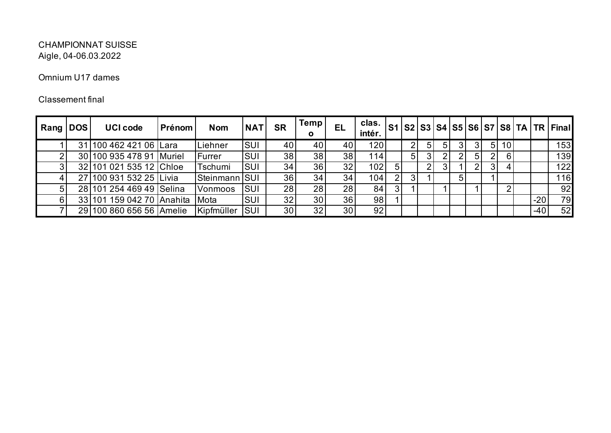### Omnium U17 dames

| Rang   DOS | <b>UCI code</b>           | Prénom | <b>Nom</b> | <b>NAT</b> | <b>SR</b>       | Temp<br>o | EL | clas.<br>intér. |    |   |   |    |    |   |                |                 |       | S1   S2   S3   S4   S5   S6   S7   S8   TA   TR   Final |
|------------|---------------------------|--------|------------|------------|-----------------|-----------|----|-----------------|----|---|---|----|----|---|----------------|-----------------|-------|---------------------------------------------------------|
|            | 31 100 462 421 06 Lara    |        | -iehner    | <b>SUI</b> | 40              | 40        | 40 | 120             |    | 2 |   | 51 |    |   | 5 <sup>1</sup> | 10 <sub>1</sub> |       | 153                                                     |
|            | 30 100 935 478 91         | Muriel | Furrer     | SUI        | 38              | 38        | 38 | 114             |    | 5 |   |    |    | 5 | $\overline{2}$ | $6 \mid$        |       | 139                                                     |
|            | 32 101 021 535 12 Chloe   |        | Tschumi    | SUI        | 34              | 36        | 32 | 102             | 5. |   | ⌒ |    |    |   | 3 <sup>1</sup> |                 |       | 122                                                     |
|            | 27 100 931 532 25 Livia   |        | Steinmann  | <b>SUI</b> | 36 <sub>1</sub> | 34        | 34 | 104             | 2  |   |   |    | 5. |   |                |                 |       | 116                                                     |
|            | 28 101 254 469 49 Selina  |        | Vonmoos    | SUI        | 28              | 28        | 28 | 84              | 3  |   |   |    |    |   |                |                 |       | 92                                                      |
| 6          | 33 101 159 042 70 Anahita |        | Mota       | SUI        | 32              | 30        | 36 | 98              |    |   |   |    |    |   |                |                 | $-20$ | 79                                                      |
|            | 29 100 860 656 56 Amelie  |        | Kipfmüller | <b>SUI</b> | 30 <sub>1</sub> | 32        | 30 | 92              |    |   |   |    |    |   |                |                 | $-40$ | 52                                                      |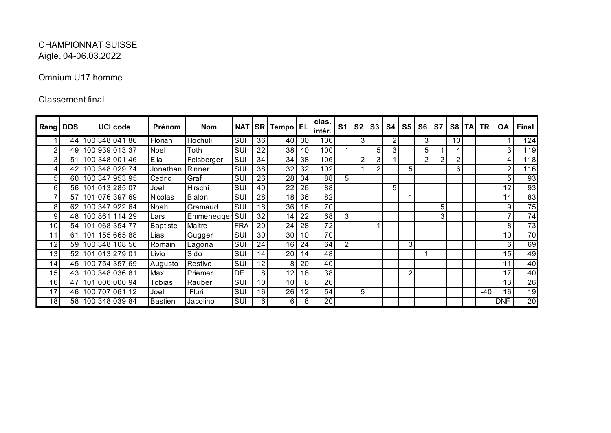### Omnium U17 homme

| <b>Rang</b>    | <b>DOS</b> | <b>UCI code</b>   | Prénom          | <b>Nom</b>     | <b>NAT</b> |    | SR Tempo EL     |                 | clas.<br>intér. | S <sub>1</sub> | S <sub>2</sub> | S <sub>3</sub> | S4             | S <sub>5</sub> | S <sub>6</sub> | S7 | S <sub>8</sub> | <b>TAI</b> | <b>TR</b> | <b>OA</b>       | Final           |
|----------------|------------|-------------------|-----------------|----------------|------------|----|-----------------|-----------------|-----------------|----------------|----------------|----------------|----------------|----------------|----------------|----|----------------|------------|-----------|-----------------|-----------------|
|                |            | 44 100 348 041 86 | Florian         | Hochuli        | SUI        | 36 | 40              | 30              | 106             |                | 3              |                | $\overline{2}$ |                | $\overline{3}$ |    | 10             |            |           |                 | 124             |
| $\overline{2}$ | 49         | 100 939 013 37    | Noel            | Toth           | SUI        | 22 | 38              | 40              | 100             |                |                | 5              | 3              |                | 5              |    | $\overline{4}$ |            |           | 3 <sub>1</sub>  | 119             |
| 3              | 51         | 100 348 001 46    | Elia            | Felsberger     | SUI        | 34 | 34              | 38              | 106             |                | $\overline{2}$ | 3              |                |                | 2              |    | 2              |            |           | 4               | 118             |
| 4              | 42         | 100 348 029 74    | Jonathan        | Rinner         | SUI        | 38 | $3\overline{2}$ | 32              | 102             |                |                | 2              |                | 5              |                |    | 6              |            |           | $\overline{2}$  | 116             |
| 5              | 60         | 100 347 953 95    | Cedric          | Graf           | SUI        | 26 | 28              | 34              | 88              | 5              |                |                |                |                |                |    |                |            |           | 5               | 93              |
| 6              |            | 56 101 013 285 07 | Joel            | Hirschi        | SUI        | 40 | 22              | 26              | 88              |                |                |                | 5              |                |                |    |                |            |           | 12 <sub>1</sub> | 93              |
| 7              | 57         | 101 076 397 69    | <b>Nicolas</b>  | <b>Bialon</b>  | SUI        | 28 | 18              | 36              | 82              |                |                |                |                |                |                |    |                |            |           | 14              | 83              |
| 8              | 62         | 100 347 922 64    | Noah            | Gremaud        | SUI        | 18 | 36              | 16              | 70              |                |                |                |                |                |                | 5  |                |            |           | 9               | $\overline{75}$ |
| 9              |            | 48 100 861 114 29 | Lars            | Emmenegger SUI |            | 32 | 14              | 22              | 68              | 3              |                |                |                |                |                | 3  |                |            |           |                 | $\overline{74}$ |
| 10             |            | 54 101 068 354 77 | <b>Baptiste</b> | Maitre         | <b>FRA</b> | 20 | 24              | 28              | 72              |                |                |                |                |                |                |    |                |            |           | 8               | $\overline{73}$ |
| 11             | 61         | 101 155 665 88    | Lias            | Gugger         | SUI        | 30 | 30              | 10              | 70              |                |                |                |                |                |                |    |                |            |           | 10              | $\overline{70}$ |
| 12             |            | 59 100 348 108 56 | Romain          | Lagona         | SUI        | 24 | 16              | 24              | 64              | $\overline{2}$ |                |                |                | 3              |                |    |                |            |           | 6               | 69              |
| 13             |            | 52 101 013 279 01 | Livio           | Sido           | SUI        | 14 | $2\overline{0}$ | 14              | 48              |                |                |                |                |                |                |    |                |            |           | 15 <sub>1</sub> | 49              |
| 14             |            | 45 100 754 357 69 | Augusto         | Restivo        | SUI        | 12 | 8               | 20              | 40              |                |                |                |                |                |                |    |                |            |           | 11              | 40              |
| 15             |            | 43 100 348 036 81 | Max             | Priemer        | <b>DE</b>  | 8  | 12              | 18              | 38              |                |                |                |                | 2              |                |    |                |            |           | 17              | 40              |
| 16             | 47         | 101 006 000 94    | <b>Tobias</b>   | Rauber         | SUI        | 10 | 10              | 6               | 26              |                |                |                |                |                |                |    |                |            |           | 13 <sub>1</sub> | $\overline{26}$ |
| 17             |            | 46 100 707 061 12 | Joel            | Fluri          | SUI        | 16 | 26              | 12 <sub>1</sub> | 54              |                | 5              |                |                |                |                |    |                |            | -40       | 16              | $\overline{19}$ |
| 18             |            | 58 100 348 039 84 | <b>Bastien</b>  | Jacolino       | SUI        | 6  | 6               | 8               | 20              |                |                |                |                |                |                |    |                |            |           | <b>DNF</b>      | $\overline{20}$ |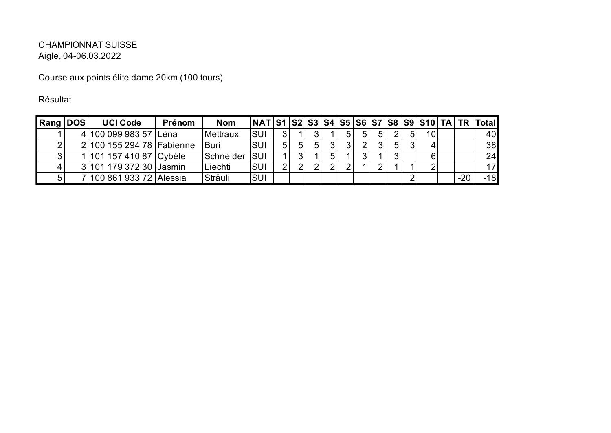Course aux points élite dame 20km (100 tours)

Résultat

| Rang DOS | <b>UCI Code</b>              | Prénom | <b>Nom</b> |            |                |             |    |    |   |                |                 |       | NAT   S1   S2   S3   S4   S5   S6   S7   S8   S9   S10   TA   TR   Total |
|----------|------------------------------|--------|------------|------------|----------------|-------------|----|----|---|----------------|-----------------|-------|--------------------------------------------------------------------------|
|          | 4 100 099 983 57 Léna        |        | Mettraux   | SUI        | 31             |             |    | 51 | 5 |                | 10 <sup>1</sup> |       | 40                                                                       |
|          | 2 100 155 294 78 Fabienne    |        | Buri       | <b>SUI</b> | 51             | $5^{\circ}$ |    |    |   | 5 <sub>l</sub> |                 |       | 38                                                                       |
|          | 1 101 157 410 87 Cybèle      |        | Schneider  | <b>SUI</b> |                |             | 51 |    |   |                |                 |       | 24                                                                       |
|          | 3 101 179 372 30 Jasmin      |        | Liechti    | <b>SUI</b> | $\overline{2}$ |             |    |    |   |                |                 |       | 17                                                                       |
|          | 7   100 861 933 72   Alessia |        | Sträuli    | <b>SUI</b> |                |             |    |    |   |                |                 | $-20$ | $-18$                                                                    |